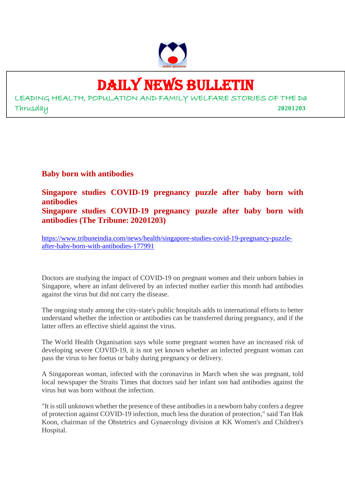

## DAILY NEWS BULLETIN

LEADING HEALTH, POPULATION AND FAMILY WELFARE STORIES OF THE Da Thrusday **20201203**

**Baby born with antibodies**

**Singapore studies COVID-19 pregnancy puzzle after baby born with antibodies Singapore studies COVID-19 pregnancy puzzle after baby born with antibodies (The Tribune: 20201203)**

https://www.tribuneindia.com/news/health/singapore-studies-covid-19-pregnancy-puzzleafter-baby-born-with-antibodies-177991

Doctors are studying the impact of COVID-19 on pregnant women and their unborn babies in Singapore, where an infant delivered by an infected mother earlier this month had antibodies against the virus but did not carry the disease.

The ongoing study among the city-state's public hospitals adds to international efforts to better understand whether the infection or antibodies can be transferred during pregnancy, and if the latter offers an effective shield against the virus.

The World Health Organisation says while some pregnant women have an increased risk of developing severe COVID-19, it is not yet known whether an infected pregnant woman can pass the virus to her foetus or baby during pregnancy or delivery.

A Singaporean woman, infected with the coronavirus in March when she was pregnant, told local newspaper the Straits Times that doctors said her infant son had antibodies against the virus but was born without the infection.

"It is still unknown whether the presence of these antibodies in a newborn baby confers a degree of protection against COVID-19 infection, much less the duration of protection," said Tan Hak Koon, chairman of the Obstetrics and Gynaecology division at KK Women's and Children's Hospital.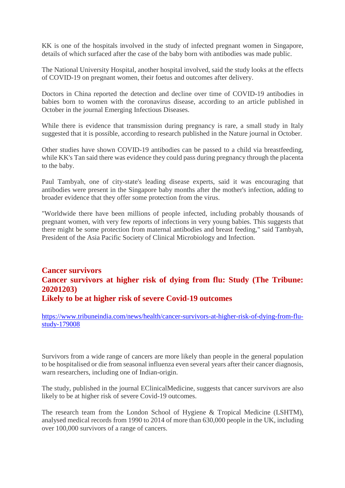KK is one of the hospitals involved in the study of infected pregnant women in Singapore, details of which surfaced after the case of the baby born with antibodies was made public.

The National University Hospital, another hospital involved, said the study looks at the effects of COVID-19 on pregnant women, their foetus and outcomes after delivery.

Doctors in China reported the detection and decline over time of COVID-19 antibodies in babies born to women with the coronavirus disease, according to an article published in October in the journal Emerging Infectious Diseases.

While there is evidence that transmission during pregnancy is rare, a small study in Italy suggested that it is possible, according to research published in the Nature journal in October.

Other studies have shown COVID-19 antibodies can be passed to a child via breastfeeding, while KK's Tan said there was evidence they could pass during pregnancy through the placenta to the baby.

Paul Tambyah, one of city-state's leading disease experts, said it was encouraging that antibodies were present in the Singapore baby months after the mother's infection, adding to broader evidence that they offer some protection from the virus.

"Worldwide there have been millions of people infected, including probably thousands of pregnant women, with very few reports of infections in very young babies. This suggests that there might be some protection from maternal antibodies and breast feeding," said Tambyah, President of the Asia Pacific Society of Clinical Microbiology and Infection.

#### **Cancer survivors Cancer survivors at higher risk of dying from flu: Study (The Tribune: 20201203) Likely to be at higher risk of severe Covid-19 outcomes**

https://www.tribuneindia.com/news/health/cancer-survivors-at-higher-risk-of-dying-from-flustudy-179008

Survivors from a wide range of cancers are more likely than people in the general population to be hospitalised or die from seasonal influenza even several years after their cancer diagnosis, warn researchers, including one of Indian-origin.

The study, published in the journal EClinicalMedicine, suggests that cancer survivors are also likely to be at higher risk of severe Covid-19 outcomes.

The research team from the London School of Hygiene & Tropical Medicine (LSHTM), analysed medical records from 1990 to 2014 of more than 630,000 people in the UK, including over 100,000 survivors of a range of cancers.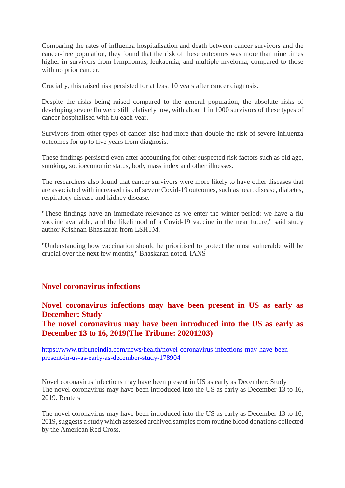Comparing the rates of influenza hospitalisation and death between cancer survivors and the cancer-free population, they found that the risk of these outcomes was more than nine times higher in survivors from lymphomas, leukaemia, and multiple myeloma, compared to those with no prior cancer.

Crucially, this raised risk persisted for at least 10 years after cancer diagnosis.

Despite the risks being raised compared to the general population, the absolute risks of developing severe flu were still relatively low, with about 1 in 1000 survivors of these types of cancer hospitalised with flu each year.

Survivors from other types of cancer also had more than double the risk of severe influenza outcomes for up to five years from diagnosis.

These findings persisted even after accounting for other suspected risk factors such as old age, smoking, socioeconomic status, body mass index and other illnesses.

The researchers also found that cancer survivors were more likely to have other diseases that are associated with increased risk of severe Covid-19 outcomes, such as heart disease, diabetes, respiratory disease and kidney disease.

"These findings have an immediate relevance as we enter the winter period: we have a flu vaccine available, and the likelihood of a Covid-19 vaccine in the near future," said study author Krishnan Bhaskaran from LSHTM.

"Understanding how vaccination should be prioritised to protect the most vulnerable will be crucial over the next few months," Bhaskaran noted. IANS

#### **Novel coronavirus infections**

**Novel coronavirus infections may have been present in US as early as December: Study The novel coronavirus may have been introduced into the US as early as**

**December 13 to 16, 2019(The Tribune: 20201203)**

https://www.tribuneindia.com/news/health/novel-coronavirus-infections-may-have-beenpresent-in-us-as-early-as-december-study-178904

Novel coronavirus infections may have been present in US as early as December: Study The novel coronavirus may have been introduced into the US as early as December 13 to 16, 2019. Reuters

The novel coronavirus may have been introduced into the US as early as December 13 to 16, 2019, suggests a study which assessed archived samples from routine blood donations collected by the American Red Cross.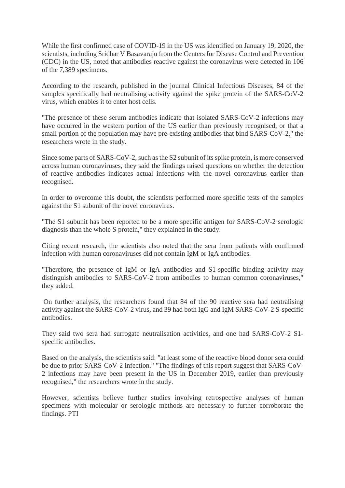While the first confirmed case of COVID-19 in the US was identified on January 19, 2020, the scientists, including Sridhar V Basavaraju from the Centers for Disease Control and Prevention (CDC) in the US, noted that antibodies reactive against the coronavirus were detected in 106 of the 7,389 specimens.

According to the research, published in the journal Clinical Infectious Diseases, 84 of the samples specifically had neutralising activity against the spike protein of the SARS-CoV-2 virus, which enables it to enter host cells.

"The presence of these serum antibodies indicate that isolated SARS-CoV-2 infections may have occurred in the western portion of the US earlier than previously recognised, or that a small portion of the population may have pre-existing antibodies that bind SARS-CoV-2," the researchers wrote in the study.

Since some parts of SARS-CoV-2, such as the S2 subunit of its spike protein, is more conserved across human coronaviruses, they said the findings raised questions on whether the detection of reactive antibodies indicates actual infections with the novel coronavirus earlier than recognised.

In order to overcome this doubt, the scientists performed more specific tests of the samples against the S1 subunit of the novel coronavirus.

"The S1 subunit has been reported to be a more specific antigen for SARS-CoV-2 serologic diagnosis than the whole S protein," they explained in the study.

Citing recent research, the scientists also noted that the sera from patients with confirmed infection with human coronaviruses did not contain IgM or IgA antibodies.

"Therefore, the presence of IgM or IgA antibodies and S1-specific binding activity may distinguish antibodies to SARS-CoV-2 from antibodies to human common coronaviruses," they added.

On further analysis, the researchers found that 84 of the 90 reactive sera had neutralising activity against the SARS-CoV-2 virus, and 39 had both IgG and IgM SARS-CoV-2 S-specific antibodies.

They said two sera had surrogate neutralisation activities, and one had SARS-CoV-2 S1 specific antibodies.

Based on the analysis, the scientists said: "at least some of the reactive blood donor sera could be due to prior SARS-CoV-2 infection." "The findings of this report suggest that SARS-CoV-2 infections may have been present in the US in December 2019, earlier than previously recognised," the researchers wrote in the study.

However, scientists believe further studies involving retrospective analyses of human specimens with molecular or serologic methods are necessary to further corroborate the findings. PTI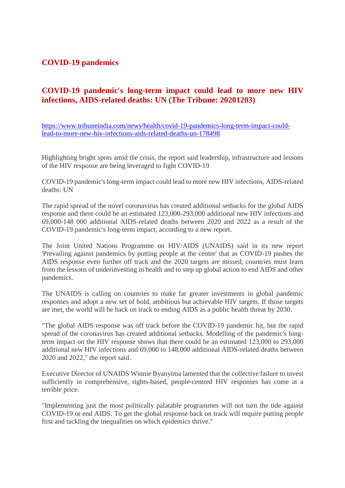#### **COVID-19 pandemics**

#### **COVID-19 pandemic's long-term impact could lead to more new HIV infections, AIDS-related deaths: UN (The Tribune: 20201203)**

https://www.tribuneindia.com/news/health/covid-19-pandemics-long-term-impact-couldlead-to-more-new-hiv-infections-aids-related-deaths-un-178498

Highlighting bright spots amid the crisis, the report said leadership, infrastructure and lessons of the HIV response are being leveraged to fight COVID-19

COVID-19 pandemic's long-term impact could lead to more new HIV infections, AIDS-related deaths: UN

The rapid spread of the novel coronavirus has created additional setbacks for the global AIDS response and there could be an estimated 123,000-293,000 additional new HIV infections and 69,000-148 000 additional AIDS-related deaths between 2020 and 2022 as a result of the COVID-19 pandemic's long-term impact, according to a new report.

The Joint United Nations Programme on HIV/AIDS (UNAIDS) said in its new report 'Prevailing against pandemics by putting people at the centre' that as COVID-19 pushes the AIDS response even further off track and the 2020 targets are missed, countries must learn from the lessons of underinvesting in health and to step up global action to end AIDS and other pandemics.

The UNAIDS is calling on countries to make far greater investments in global pandemic responses and adopt a new set of bold, ambitious but achievable HIV targets. If those targets are met, the world will be back on track to ending AIDS as a public health threat by 2030.

"The global AIDS response was off track before the COVID-19 pandemic hit, but the rapid spread of the coronavirus has created additional setbacks. Modelling of the pandemic's longterm impact on the HIV response shows that there could be an estimated 123,000 to 293,000 additional new HIV infections and 69,000 to 148,000 additional AIDS-related deaths between 2020 and 2022," the report said.

Executive Director of UNAIDS Winnie Byanyima lamented that the collective failure to invest sufficiently in comprehensive, rights-based, people-centred HIV responses has come at a terrible price.

"Implementing just the most politically palatable programmes will not turn the tide against COVID-19 or end AIDS. To get the global response back on track will require putting people first and tackling the inequalities on which epidemics thrive."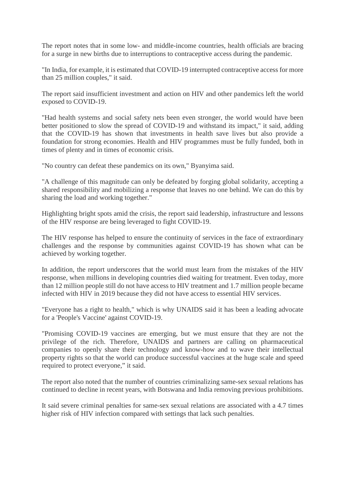The report notes that in some low- and middle-income countries, health officials are bracing for a surge in new births due to interruptions to contraceptive access during the pandemic.

"In India, for example, it is estimated that COVID-19 interrupted contraceptive access for more than 25 million couples," it said.

The report said insufficient investment and action on HIV and other pandemics left the world exposed to COVID-19.

"Had health systems and social safety nets been even stronger, the world would have been better positioned to slow the spread of COVID-19 and withstand its impact," it said, adding that the COVID-19 has shown that investments in health save lives but also provide a foundation for strong economies. Health and HIV programmes must be fully funded, both in times of plenty and in times of economic crisis.

"No country can defeat these pandemics on its own," Byanyima said.

"A challenge of this magnitude can only be defeated by forging global solidarity, accepting a shared responsibility and mobilizing a response that leaves no one behind. We can do this by sharing the load and working together."

Highlighting bright spots amid the crisis, the report said leadership, infrastructure and lessons of the HIV response are being leveraged to fight COVID-19.

The HIV response has helped to ensure the continuity of services in the face of extraordinary challenges and the response by communities against COVID-19 has shown what can be achieved by working together.

In addition, the report underscores that the world must learn from the mistakes of the HIV response, when millions in developing countries died waiting for treatment. Even today, more than 12 million people still do not have access to HIV treatment and 1.7 million people became infected with HIV in 2019 because they did not have access to essential HIV services.

"Everyone has a right to health," which is why UNAIDS said it has been a leading advocate for a 'People's Vaccine' against COVID-19.

"Promising COVID-19 vaccines are emerging, but we must ensure that they are not the privilege of the rich. Therefore, UNAIDS and partners are calling on pharmaceutical companies to openly share their technology and know-how and to wave their intellectual property rights so that the world can produce successful vaccines at the huge scale and speed required to protect everyone," it said.

The report also noted that the number of countries criminalizing same-sex sexual relations has continued to decline in recent years, with Botswana and India removing previous prohibitions.

It said severe criminal penalties for same-sex sexual relations are associated with a 4.7 times higher risk of HIV infection compared with settings that lack such penalties.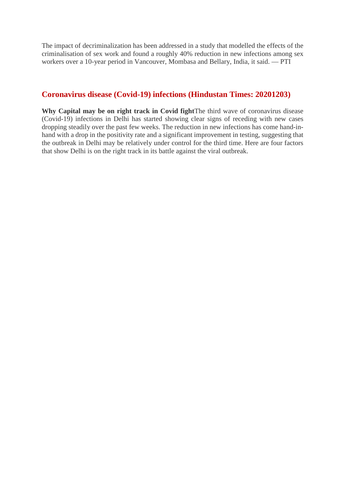The impact of decriminalization has been addressed in a study that modelled the effects of the criminalisation of sex work and found a roughly 40% reduction in new infections among sex workers over a 10-year period in Vancouver, Mombasa and Bellary, India, it said. — PTI

#### **Coronavirus disease (Covid-19) infections (Hindustan Times: 20201203)**

**Why Capital may be on right track in Covid fight**The third wave of coronavirus disease (Covid-19) infections in Delhi has started showing clear signs of receding with new cases dropping steadily over the past few weeks. The reduction in new infections has come hand-inhand with a drop in the positivity rate and a significant improvement in testing, suggesting that the outbreak in Delhi may be relatively under control for the third time. Here are four factors that show Delhi is on the right track in its battle against the viral outbreak.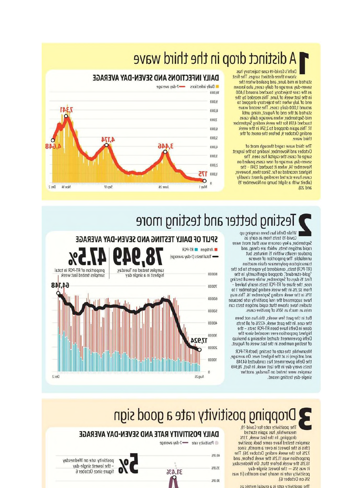## A distinct drop in the third wave

Delhi's Covid-19 case trajectory has shown three distinct surges. The first started in mid-June, and peaked when the seven-day average of daily cases, also known as the case trajectory, touched around 3,400 in the last week of June. This receded by the end of July when the trajectory dropped to around 1,000 daily cases. The second wave started at the end of August, rising until mid-September, when average daily cases touched 4,174 for the week ending September 17. This again dropped to 2,574 in the week ending October 9, before the onset of the third wave.

The third wave raged through most of October and November, leading to the largest surge of cases the capital has seen. The seven-day average of new cases peaked on November 14, when it touched 7,341 - the highest recorded so far. Since then, however, cases have started receding almost steadily (albeit with a slight bump on November 19 and  $20$ ).

#### DAILY INFECTIONS AND SEVEN-DAY AVERAGE



### Testing better and testing more

While Delhi has been ramping up Covid-19 tests from as early as September, a key concern was that most were rapid antigen tests, which are cheap, and produce results within 15 minutes, but unreliable. The proportion of reverse transcription-polymerase chain reaction (RT-PCR) tests, considered by experts to be the "gold-standard", dropped significantly. In the first 15 days of September, while overall testing rose, the share of RT-PCR tests nearly halved from 32.3% in the week ending September 1 to 17% in the week ending September 16. This may have suppressed the real positivity rate because studies have shown that rapid antigen tests can miss as much as 50% of positive cases.

But in the past few weeks, this has not been the case. In the past week, 47.5% of all tests done in Delhi have been RT-PCR tests - the highest proportion ever recorded since the Delhi government started releasing a breakup of testing numbers in the last week of August.

Meanwhile, the rate of testing (both RT-PCR and antigen) is at the highest ever. On average, the Delhi government has conducted 64.148 tests every day in the last week. In fact, 78,949 samples were tested on Tuesday, another single-day testing record.

#### SPLIT OF DAILY TESTING AND SEVEN-DAY AVERAGE Antiqen RT-PCR



### Dropping positivity rate a good sign

The positivity rate for Covid-19, meanwhile, has again started dropping. In the last week, 7.3% samples tested have come back positive (this is the lowest in over a month, since 7.2% for the week ending October 26). The proportion was 11.2% the week before, and 13.3% the week before that. On Wednesday, it was 5% - the lowest single-day positivity rate in nearly two months (it was 5% on October 6).

The positivity rate is a crucial metric as

#### DAILY POSITIVITY RATE AND SEVEN-DAY AVERAGE

Positivity rate -7-day average

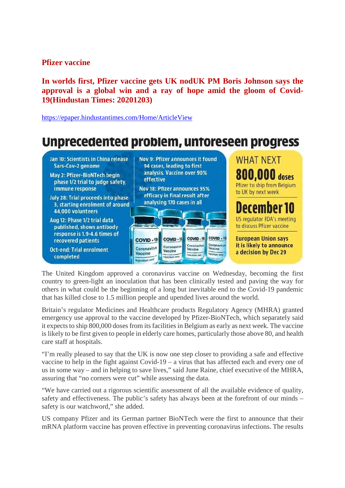#### **Pfizer vaccine**

**In worlds first, Pfizer vaccine gets UK nodUK PM Boris Johnson says the approval is a global win and a ray of hope amid the gloom of Covid-19(Hindustan Times: 20201203)**

https://epaper.hindustantimes.com/Home/ArticleView

#### Unprecedented problem, untoreseen progress **WHAT NFXT** Jan 10: Scientists in China release Nov 9: Pfizer announces it found Sars-Cov-2 genome 94 cases, leading to first **800,000 doses** analysis. Vaccine over 90% May 2: Pfizer-BioNTech begin effective phase 1/2 trial to judge safety. Pfizer to ship from Belgium Nov 18: Pfizer announces 95% immune response to UK by next week efficacy in final result after July 28: Trial proceeds into phase analysing 170 cases in all 3, starting enrolment of around December 10 44,000 volunteers US regulator FDA's meeting Aug 12: Phase 1/2 trial data to discuss Pfizer vaccine published, shows antibody response is 1.9-4.6 times of COVID-19 COVID-19 COVID-19 **European Union says COVID-19** recovered patients Coronavirut<br>Vaccine Coronavirus<br>Vaccine it is likely to announce Coronavirus<br>Vaccine Coronavirus **Oct-end: Trial enrolment** a decision by Dec 29 Vaccine hisption anticompleted **Hiller News with** lection

The United Kingdom approved a coronavirus vaccine on Wednesday, becoming the first country to green-light an inoculation that has been clinically tested and paving the way for others in what could be the beginning of a long but inevitable end to the Covid-19 pandemic that has killed close to 1.5 million people and upended lives around the world.

Britain's regulator Medicines and Healthcare products Regulatory Agency (MHRA) granted emergency use approval to the vaccine developed by Pfizer-BioNTech, which separately said it expects to ship 800,000 doses from its facilities in Belgium as early as next week. The vaccine is likely to be first given to people in elderly care homes, particularly those above 80, and health care staff at hospitals.

"I'm really pleased to say that the UK is now one step closer to providing a safe and effective vaccine to help in the fight against Covid-19 – a virus that has affected each and every one of us in some way – and in helping to save lives," said June Raine, chief executive of the MHRA, assuring that "no corners were cut" while assessing the data.

"We have carried out a rigorous scientific assessment of all the available evidence of quality, safety and effectiveness. The public's safety has always been at the forefront of our minds – safety is our watchword," she added.

US company Pfizer and its German partner BioNTech were the first to announce that their mRNA platform vaccine has proven effective in preventing coronavirus infections. The results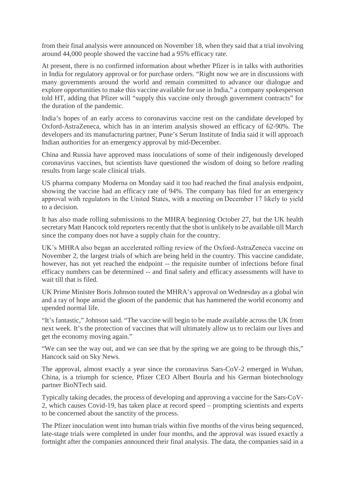from their final analysis were announced on November 18, when they said that a trial involving around 44,000 people showed the vaccine had a 95% efficacy rate.

At present, there is no confirmed information about whether Pfizer is in talks with authorities in India for regulatory approval or for purchase orders. "Right now we are in discussions with many governments around the world and remain committed to advance our dialogue and explore opportunities to make this vaccine available for use in India," a company spokesperson told HT, adding that Pfizer will "supply this vaccine only through government contracts" for the duration of the pandemic.

India's hopes of an early access to coronavirus vaccine rest on the candidate developed by Oxford-AstraZeneca, which has in an interim analysis showed an efficacy of 62-90%. The developers and its manufacturing partner, Pune's Serum Institute of India said it will approach Indian authorities for an emergency approval by mid-December.

China and Russia have approved mass inoculations of some of their indigenously developed coronavirus vaccines, but scientists have questioned the wisdom of doing so before reading results from large scale clinical trials.

US pharma company Moderna on Monday said it too had reached the final analysis endpoint, showing the vaccine had an efficacy rate of 94%. The company has filed for an emergency approval with regulators in the United States, with a meeting on December 17 likely to yield to a decision.

It has also made rolling submissions to the MHRA beginning October 27, but the UK health secretary Matt Hancock told reporters recently that the shot is unlikely to be available till March since the company does not have a supply chain for the country.

UK's MHRA also began an accelerated rolling review of the Oxford-AstraZeneca vaccine on November 2, the largest trials of which are being held in the country. This vaccine candidate, however, has not yet reached the endpoint -- the requisite number of infections before final efficacy numbers can be determined -- and final safety and efficacy assessments will have to wait till that is filed.

UK Prime Minister Boris Johnson touted the MHRA's approval on Wednesday as a global win and a ray of hope amid the gloom of the pandemic that has hammered the world economy and upended normal life.

"It's fantastic," Johnson said. "The vaccine will begin to be made available across the UK from next week. It's the protection of vaccines that will ultimately allow us to reclaim our lives and get the economy moving again."

"We can see the way out, and we can see that by the spring we are going to be through this," Hancock said on Sky News.

The approval, almost exactly a year since the coronavirus Sars-CoV-2 emerged in Wuhan, China, is a triumph for science, Pfizer CEO Albert Bourla and his German biotechnology partner BioNTech said.

Typically taking decades, the process of developing and approving a vaccine for the Sars-CoV-2, which causes Covid-19, has taken place at record speed – prompting scientists and experts to be concerned about the sanctity of the process.

The Pfizer inoculation went into human trials within five months of the virus being sequenced, late-stage trials were completed in under four months, and the approval was issued exactly a fortnight after the companies announced their final analysis. The data, the companies said in a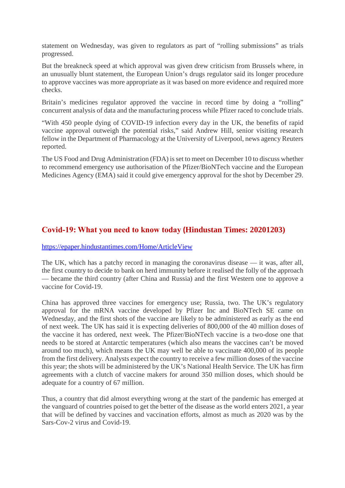statement on Wednesday, was given to regulators as part of "rolling submissions" as trials progressed.

But the breakneck speed at which approval was given drew criticism from Brussels where, in an unusually blunt statement, the European Union's drugs regulator said its longer procedure to approve vaccines was more appropriate as it was based on more evidence and required more checks.

Britain's medicines regulator approved the vaccine in record time by doing a "rolling" concurrent analysis of data and the manufacturing process while Pfizer raced to conclude trials.

"With 450 people dying of COVID-19 infection every day in the UK, the benefits of rapid vaccine approval outweigh the potential risks," said Andrew Hill, senior visiting research fellow in the Department of Pharmacology at the University of Liverpool, news agency Reuters reported.

The US Food and Drug Administration (FDA) is set to meet on December 10 to discuss whether to recommend emergency use authorisation of the Pfizer/BioNTech vaccine and the European Medicines Agency (EMA) said it could give emergency approval for the shot by December 29.

#### **Covid-19: What you need to know today (Hindustan Times: 20201203)**

#### https://epaper.hindustantimes.com/Home/ArticleView

The UK, which has a patchy record in managing the coronavirus disease — it was, after all, the first country to decide to bank on herd immunity before it realised the folly of the approach — became the third country (after China and Russia) and the first Western one to approve a vaccine for Covid-19.

China has approved three vaccines for emergency use; Russia, two. The UK's regulatory approval for the mRNA vaccine developed by Pfizer Inc and BioNTech SE came on Wednesday, and the first shots of the vaccine are likely to be administered as early as the end of next week. The UK has said it is expecting deliveries of 800,000 of the 40 million doses of the vaccine it has ordered, next week. The Pfizer/BioNTech vaccine is a two-dose one that needs to be stored at Antarctic temperatures (which also means the vaccines can't be moved around too much), which means the UK may well be able to vaccinate 400,000 of its people from the first delivery. Analysts expect the country to receive a few million doses of the vaccine this year; the shots will be administered by the UK's National Health Service. The UK has firm agreements with a clutch of vaccine makers for around 350 million doses, which should be adequate for a country of 67 million.

Thus, a country that did almost everything wrong at the start of the pandemic has emerged at the vanguard of countries poised to get the better of the disease as the world enters 2021, a year that will be defined by vaccines and vaccination efforts, almost as much as 2020 was by the Sars-Cov-2 virus and Covid-19.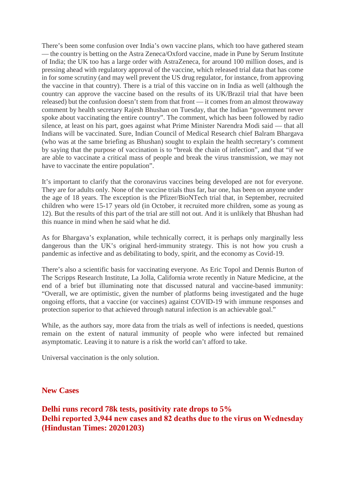There's been some confusion over India's own vaccine plans, which too have gathered steam — the country is betting on the Astra Zeneca/Oxford vaccine, made in Pune by Serum Institute of India; the UK too has a large order with AstraZeneca, for around 100 million doses, and is pressing ahead with regulatory approval of the vaccine, which released trial data that has come in for some scrutiny (and may well prevent the US drug regulator, for instance, from approving the vaccine in that country). There is a trial of this vaccine on in India as well (although the country can approve the vaccine based on the results of its UK/Brazil trial that have been released) but the confusion doesn't stem from that front — it comes from an almost throwaway comment by health secretary Rajesh Bhushan on Tuesday, that the Indian "government never spoke about vaccinating the entire country". The comment, which has been followed by radio silence, at least on his part, goes against what Prime Minister Narendra Modi said — that all Indians will be vaccinated. Sure, Indian Council of Medical Research chief Balram Bhargava (who was at the same briefing as Bhushan) sought to explain the health secretary's comment by saying that the purpose of vaccination is to "break the chain of infection", and that "if we are able to vaccinate a critical mass of people and break the virus transmission, we may not have to vaccinate the entire population".

It's important to clarify that the coronavirus vaccines being developed are not for everyone. They are for adults only. None of the vaccine trials thus far, bar one, has been on anyone under the age of 18 years. The exception is the Pfizer/BioNTech trial that, in September, recruited children who were 15-17 years old (in October, it recruited more children, some as young as 12). But the results of this part of the trial are still not out. And it is unlikely that Bhushan had this nuance in mind when he said what he did.

As for Bhargava's explanation, while technically correct, it is perhaps only marginally less dangerous than the UK's original herd-immunity strategy. This is not how you crush a pandemic as infective and as debilitating to body, spirit, and the economy as Covid-19.

There's also a scientific basis for vaccinating everyone. As Eric Topol and Dennis Burton of The Scripps Research Institute, La Jolla, California wrote recently in Nature Medicine, at the end of a brief but illuminating note that discussed natural and vaccine-based immunity: "Overall, we are optimistic, given the number of platforms being investigated and the huge ongoing efforts, that a vaccine (or vaccines) against COVID-19 with immune responses and protection superior to that achieved through natural infection is an achievable goal."

While, as the authors say, more data from the trials as well of infections is needed, questions remain on the extent of natural immunity of people who were infected but remained asymptomatic. Leaving it to nature is a risk the world can't afford to take.

Universal vaccination is the only solution.

**New Cases**

**Delhi runs record 78k tests, positivity rate drops to 5% Delhi reported 3,944 new cases and 82 deaths due to the virus on Wednesday (Hindustan Times: 20201203)**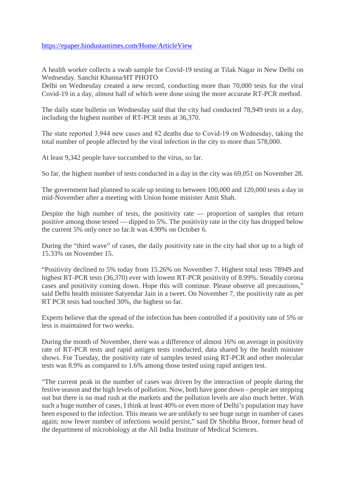#### https://epaper.hindustantimes.com/Home/ArticleView

A health worker collects a swab sample for Covid-19 testing at Tilak Nagar in New Delhi on Wednesday. Sanchit Khanna/HT PHOTO

Delhi on Wednesday created a new record, conducting more than 70,000 tests for the viral Covid-19 in a day, almost half of which were done using the more accurate RT-PCR method.

The daily state bulletin on Wednesday said that the city had conducted 78,949 tests in a day, including the highest number of RT-PCR tests at 36,370.

The state reported 3,944 new cases and 82 deaths due to Covid-19 on Wednesday, taking the total number of people affected by the viral infection in the city to more than 578,000.

At least 9,342 people have succumbed to the virus, so far.

So far, the highest number of tests conducted in a day in the city was 69,051 on November 28.

The government had planned to scale up testing to between 100,000 and 120,000 tests a day in mid-November after a meeting with Union home minister Amit Shah.

Despite the high number of tests, the positivity rate — proportion of samples that return positive among those tested — dipped to 5%. The positivity rate in the city has dropped below the current 5% only once so far.It was 4.99% on October 6.

During the "third wave" of cases, the daily positivity rate in the city had shot up to a high of 15.33% on November 15.

"Positivity declined to 5% today from 15.26% on November 7. Highest total tests 78949 and highest RT-PCR tests (36,370) ever with lowest RT-PCR positivity of 8.99%. Steadily corona cases and positivity coming down. Hope this will continue. Please observe all precautions," said Delhi health minister Satyendar Jain in a tweet. On November 7, the positivity rate as per RT PCR tests had touched 30%, the highest so far.

Experts believe that the spread of the infection has been controlled if a positivity rate of 5% or less is maintained for two weeks.

During the month of November, there was a difference of almost 16% on average in positivity rate of RT-PCR tests and rapid antigen tests conducted, data shared by the health minister shows. For Tuesday, the positivity rate of samples tested using RT-PCR and other molecular tests was 8.9% as compared to 1.6% among those tested using rapid antigen test.

"The current peak in the number of cases was driven by the interaction of people during the festive season and the high levels of pollution. Now, both have gone down – people are stepping out but there is no mad rush at the markets and the pollution levels are also much better. With such a huge number of cases, I think at least 40% or even more of Delhi's population may have been exposed to the infection. This means we are unlikely to see huge surge in number of cases again; now fewer number of infections would persist," said Dr Shobha Broor, former head of the department of microbiology at the All India Institute of Medical Sciences.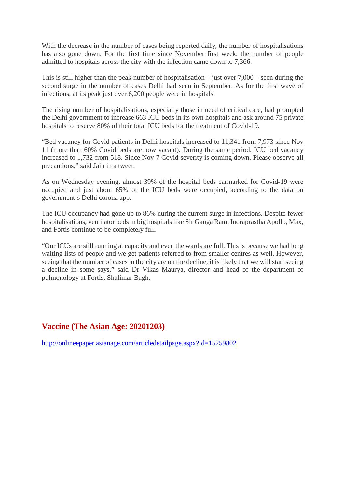With the decrease in the number of cases being reported daily, the number of hospitalisations has also gone down. For the first time since November first week, the number of people admitted to hospitals across the city with the infection came down to 7,366.

This is still higher than the peak number of hospitalisation – just over  $7,000$  – seen during the second surge in the number of cases Delhi had seen in September. As for the first wave of infections, at its peak just over 6,200 people were in hospitals.

The rising number of hospitalisations, especially those in need of critical care, had prompted the Delhi government to increase 663 ICU beds in its own hospitals and ask around 75 private hospitals to reserve 80% of their total ICU beds for the treatment of Covid-19.

"Bed vacancy for Covid patients in Delhi hospitals increased to 11,341 from 7,973 since Nov 11 (more than 60% Covid beds are now vacant). During the same period, ICU bed vacancy increased to 1,732 from 518. Since Nov 7 Covid severity is coming down. Please observe all precautions," said Jain in a tweet.

As on Wednesday evening, almost 39% of the hospital beds earmarked for Covid-19 were occupied and just about 65% of the ICU beds were occupied, according to the data on government's Delhi corona app.

The ICU occupancy had gone up to 86% during the current surge in infections. Despite fewer hospitalisations, ventilator beds in big hospitals like Sir Ganga Ram, Indraprastha Apollo, Max, and Fortis continue to be completely full.

"Our ICUs are still running at capacity and even the wards are full. This is because we had long waiting lists of people and we get patients referred to from smaller centres as well. However, seeing that the number of cases in the city are on the decline, it is likely that we will start seeing a decline in some says," said Dr Vikas Maurya, director and head of the department of pulmonology at Fortis, Shalimar Bagh.

#### **Vaccine (The Asian Age: 20201203)**

http://onlineepaper.asianage.com/articledetailpage.aspx?id=15259802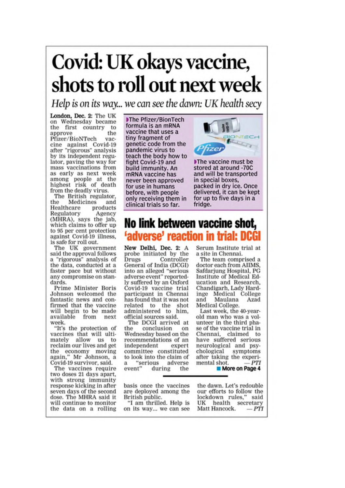## Covid: UK okays vaccine, shots to roll out next week

Help is on its way... we can see the dawn: UK health secy

London, Dec. 2: The UK on Wednesday became the first country to the approve Pfizer/BioNTech vaccine against Covid-19 after "rigorous" analysis by its independent regulator, paving the way for mass vaccinations from as early as next week among people at the<br>highest risk of death from the deadly virus.

The British regulator. the Medicines and products Healthcare Regulatory Agency (MHRA), says the jab. which claims to offer up to 95 per cent protection against Covid-19 illness, is safe for roll out.

The UK government said the approval follows<br>a "rigorous" analysis of the data, conducted at a faster pace but without any compromise on standards.

Prime Minister Boris Johnson welcomed the fantastic news and confirmed that the vaccine will begin to be made available from next week.

"It's the protection of vaccines that will ultimately allow us to reclaim our lives and get the economy moving again," Mr Johnson, a Covid-19 survivor, said.

The vaccines require two doses 21 days apart, with strong immunity<br>response kicking in after seven days of the second dose. The MHRA said it will continue to monitor the data on a rolling

The Pfizer/BionTech formula is an mRNA vaccine that uses a tiny fragment of genetic code from the pandemic virus to teach the body how to fight Covid-19 and build immunity. An mRNA vaccine has never been approved for use in humans before, with people only receiving them in clinical trials so far.



The vaccine must be stored at around -70C and will be transported in special boxes, packed in dry ice. Once delivered, it can be kept for up to five days in a fridge.

#### No link between vaccine shot, 'adverse' reaction in trial: DCGI

New Delhi, Dec. 2: A probe initiated by the Controller Drugs General of India (DCGI) into an alleged "serious adverse event" reportedly suffered by an Oxford Covid-19 vaccine trial participant in Chennai has found that it was not related to the shot<br>administered to him, official sources said.

The DCGI arrived at conclusion the on Wednesday based on the recommendations of an independent expert committee constituted to look into the claim of "serious adverse  $\mathbf{a}$ event" during the

basis once the vaccines are deployed among the British public.

"I am thrilled. Help is on its way... we can see Serum Institute trial at a site in Chennai.

The team comprised a doctor each from AIIMS. Safdarjung Hospital, PG Institute of Medical Education and Research, Chandigarh, Lady Hardinge Medical College and Maulana Azad Medical College.

Last week, the 40-yearold man who was a volunteer in the third phase of the vaccine trial in Chennai, claimed to have suffered serious neurological and psychological symptoms after taking the experimental shot. **PTI** More on Page 4

the dawn. Let's redouble our efforts to follow the lockdown rules," said health secretary UK Matt Hancock.  $-PTI$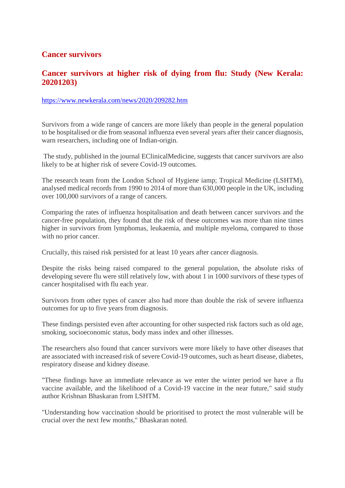#### **Cancer survivors**

#### **Cancer survivors at higher risk of dying from flu: Study (New Kerala: 20201203)**

#### https://www.newkerala.com/news/2020/209282.htm

Survivors from a wide range of cancers are more likely than people in the general population to be hospitalised or die from seasonal influenza even several years after their cancer diagnosis, warn researchers, including one of Indian-origin.

The study, published in the journal EClinicalMedicine, suggests that cancer survivors are also likely to be at higher risk of severe Covid-19 outcomes.

The research team from the London School of Hygiene iamp; Tropical Medicine (LSHTM), analysed medical records from 1990 to 2014 of more than 630,000 people in the UK, including over 100,000 survivors of a range of cancers.

Comparing the rates of influenza hospitalisation and death between cancer survivors and the cancer-free population, they found that the risk of these outcomes was more than nine times higher in survivors from lymphomas, leukaemia, and multiple myeloma, compared to those with no prior cancer.

Crucially, this raised risk persisted for at least 10 years after cancer diagnosis.

Despite the risks being raised compared to the general population, the absolute risks of developing severe flu were still relatively low, with about 1 in 1000 survivors of these types of cancer hospitalised with flu each year.

Survivors from other types of cancer also had more than double the risk of severe influenza outcomes for up to five years from diagnosis.

These findings persisted even after accounting for other suspected risk factors such as old age, smoking, socioeconomic status, body mass index and other illnesses.

The researchers also found that cancer survivors were more likely to have other diseases that are associated with increased risk of severe Covid-19 outcomes, such as heart disease, diabetes, respiratory disease and kidney disease.

"These findings have an immediate relevance as we enter the winter period we have a flu vaccine available, and the likelihood of a Covid-19 vaccine in the near future," said study author Krishnan Bhaskaran from LSHTM.

"Understanding how vaccination should be prioritised to protect the most vulnerable will be crucial over the next few months," Bhaskaran noted.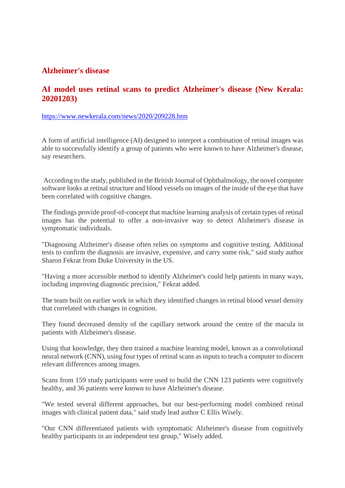#### **Alzheimer's disease**

#### **AI model uses retinal scans to predict Alzheimer's disease (New Kerala: 20201203)**

#### https://www.newkerala.com/news/2020/209228.htm

A form of artificial intelligence (AI) designed to interpret a combination of retinal images was able to successfully identify a group of patients who were known to have Alzheimer's disease, say researchers.

According to the study, published in the British Journal of Ophthalmology, the novel computer software looks at retinal structure and blood vessels on images of the inside of the eye that have been correlated with cognitive changes.

The findings provide proof-of-concept that machine learning analysis of certain types of retinal images has the potential to offer a non-invasive way to detect Alzheimer's disease in symptomatic individuals.

"Diagnosing Alzheimer's disease often relies on symptoms and cognitive testing. Additional tests to confirm the diagnosis are invasive, expensive, and carry some risk," said study author Sharon Fekrat from Duke University in the US.

"Having a more accessible method to identify Alzheimer's could help patients in many ways, including improving diagnostic precision," Fekrat added.

The team built on earlier work in which they identified changes in retinal blood vessel density that correlated with changes in cognition.

They found decreased density of the capillary network around the centre of the macula in patients with Alzheimer's disease.

Using that knowledge, they then trained a machine learning model, known as a convolutional neural network (CNN), using four types of retinal scans as inputs to teach a computer to discern relevant differences among images.

Scans from 159 study participants were used to build the CNN 123 patients were cognitively healthy, and 36 patients were known to have Alzheimer's disease.

"We tested several different approaches, but our best-performing model combined retinal images with clinical patient data," said study lead author C Ellis Wisely.

"Our CNN differentiated patients with symptomatic Alzheimer's disease from cognitively healthy participants in an independent test group," Wisely added.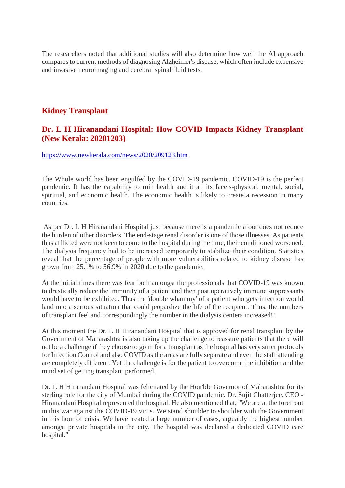The researchers noted that additional studies will also determine how well the AI approach compares to current methods of diagnosing Alzheimer's disease, which often include expensive and invasive neuroimaging and cerebral spinal fluid tests.

#### **Kidney Transplant**

#### **Dr. L H Hiranandani Hospital: How COVID Impacts Kidney Transplant (New Kerala: 20201203)**

#### https://www.newkerala.com/news/2020/209123.htm

The Whole world has been engulfed by the COVID-19 pandemic. COVID-19 is the perfect pandemic. It has the capability to ruin health and it all its facets-physical, mental, social, spiritual, and economic health. The economic health is likely to create a recession in many countries.

As per Dr. L H Hiranandani Hospital just because there is a pandemic afoot does not reduce the burden of other disorders. The end-stage renal disorder is one of those illnesses. As patients thus afflicted were not keen to come to the hospital during the time, their conditioned worsened. The dialysis frequency had to be increased temporarily to stabilize their condition. Statistics reveal that the percentage of people with more vulnerabilities related to kidney disease has grown from 25.1% to 56.9% in 2020 due to the pandemic.

At the initial times there was fear both amongst the professionals that COVID-19 was known to drastically reduce the immunity of a patient and then post operatively immune suppressants would have to be exhibited. Thus the 'double whammy' of a patient who gets infection would land into a serious situation that could jeopardize the life of the recipient. Thus, the numbers of transplant feel and correspondingly the number in the dialysis centers increased!!

At this moment the Dr. L H Hiranandani Hospital that is approved for renal transplant by the Government of Maharashtra is also taking up the challenge to reassure patients that there will not be a challenge if they choose to go in for a transplant as the hospital has very strict protocols for Infection Control and also COVID as the areas are fully separate and even the staff attending are completely different. Yet the challenge is for the patient to overcome the inhibition and the mind set of getting transplant performed.

Dr. L H Hiranandani Hospital was felicitated by the Hon'ble Governor of Maharashtra for its sterling role for the city of Mumbai during the COVID pandemic. Dr. Sujit Chatterjee, CEO - Hiranandani Hospital represented the hospital. He also mentioned that, "We are at the forefront in this war against the COVID-19 virus. We stand shoulder to shoulder with the Government in this hour of crisis. We have treated a large number of cases, arguably the highest number amongst private hospitals in the city. The hospital was declared a dedicated COVID care hospital."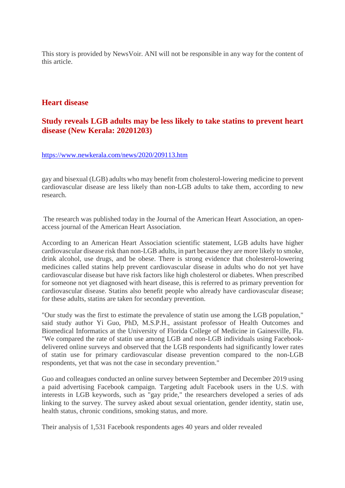This story is provided by NewsVoir. ANI will not be responsible in any way for the content of this article.

#### **Heart disease**

#### **Study reveals LGB adults may be less likely to take statins to prevent heart disease (New Kerala: 20201203)**

#### https://www.newkerala.com/news/2020/209113.htm

gay and bisexual (LGB) adults who may benefit from cholesterol-lowering medicine to prevent cardiovascular disease are less likely than non-LGB adults to take them, according to new research.

The research was published today in the Journal of the American Heart Association, an openaccess journal of the American Heart Association.

According to an American Heart Association scientific statement, LGB adults have higher cardiovascular disease risk than non-LGB adults, in part because they are more likely to smoke, drink alcohol, use drugs, and be obese. There is strong evidence that cholesterol-lowering medicines called statins help prevent cardiovascular disease in adults who do not yet have cardiovascular disease but have risk factors like high cholesterol or diabetes. When prescribed for someone not yet diagnosed with heart disease, this is referred to as primary prevention for cardiovascular disease. Statins also benefit people who already have cardiovascular disease; for these adults, statins are taken for secondary prevention.

"Our study was the first to estimate the prevalence of statin use among the LGB population," said study author Yi Guo, PhD, M.S.P.H., assistant professor of Health Outcomes and Biomedical Informatics at the University of Florida College of Medicine in Gainesville, Fla. "We compared the rate of statin use among LGB and non-LGB individuals using Facebookdelivered online surveys and observed that the LGB respondents had significantly lower rates of statin use for primary cardiovascular disease prevention compared to the non-LGB respondents, yet that was not the case in secondary prevention."

Guo and colleagues conducted an online survey between September and December 2019 using a paid advertising Facebook campaign. Targeting adult Facebook users in the U.S. with interests in LGB keywords, such as "gay pride," the researchers developed a series of ads linking to the survey. The survey asked about sexual orientation, gender identity, statin use, health status, chronic conditions, smoking status, and more.

Their analysis of 1,531 Facebook respondents ages 40 years and older revealed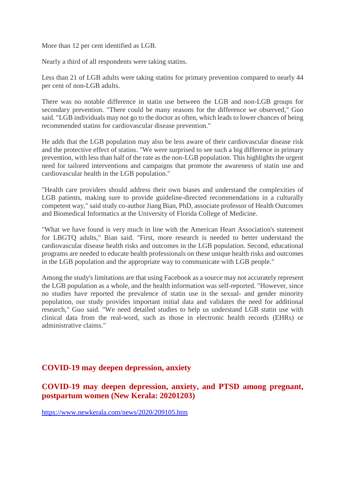More than 12 per cent identified as LGB.

Nearly a third of all respondents were taking statins.

Less than 21 of LGB adults were taking statins for primary prevention compared to nearly 44 per cent of non-LGB adults.

There was no notable difference in statin use between the LGB and non-LGB groups for secondary prevention. "There could be many reasons for the difference we observed," Guo said. "LGB individuals may not go to the doctor as often, which leads to lower chances of being recommended statins for cardiovascular disease prevention."

He adds that the LGB population may also be less aware of their cardiovascular disease risk and the protective effect of statins. "We were surprised to see such a big difference in primary prevention, with less than half of the rate as the non-LGB population. This highlights the urgent need for tailored interventions and campaigns that promote the awareness of statin use and cardiovascular health in the LGB population."

"Health care providers should address their own biases and understand the complexities of LGB patients, making sure to provide guideline-directed recommendations in a culturally competent way," said study co-author Jiang Bian, PhD, associate professor of Health Outcomes and Biomedical Informatics at the University of Florida College of Medicine.

"What we have found is very much in line with the American Heart Association's statement for LBGTQ adults," Bian said. "First, more research is needed to better understand the cardiovascular disease health risks and outcomes in the LGB population. Second, educational programs are needed to educate health professionals on these unique health risks and outcomes in the LGB population and the appropriate way to communicate with LGB people."

Among the study's limitations are that using Facebook as a source may not accurately represent the LGB population as a whole, and the health information was self-reported. "However, since no studies have reported the prevalence of statin use in the sexual- and gender minority population, our study provides important initial data and validates the need for additional research," Guo said. "We need detailed studies to help us understand LGB statin use with clinical data from the real-word, such as those in electronic health records (EHRs) or administrative claims."

#### **COVID-19 may deepen depression, anxiety**

**COVID-19 may deepen depression, anxiety, and PTSD among pregnant, postpartum women (New Kerala: 20201203)**

https://www.newkerala.com/news/2020/209105.htm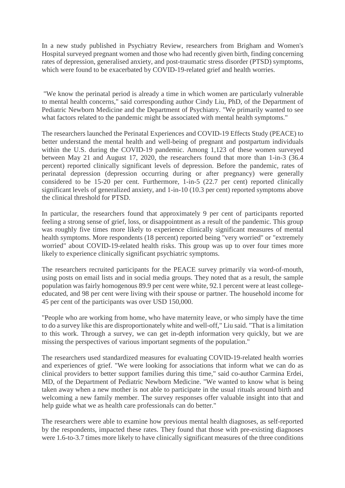In a new study published in Psychiatry Review, researchers from Brigham and Women's Hospital surveyed pregnant women and those who had recently given birth, finding concerning rates of depression, generalised anxiety, and post-traumatic stress disorder (PTSD) symptoms, which were found to be exacerbated by COVID-19-related grief and health worries.

"We know the perinatal period is already a time in which women are particularly vulnerable to mental health concerns," said corresponding author Cindy Liu, PhD, of the Department of Pediatric Newborn Medicine and the Department of Psychiatry. "We primarily wanted to see what factors related to the pandemic might be associated with mental health symptoms."

The researchers launched the Perinatal Experiences and COVID-19 Effects Study (PEACE) to better understand the mental health and well-being of pregnant and postpartum individuals within the U.S. during the COVID-19 pandemic. Among 1,123 of these women surveyed between May 21 and August 17, 2020, the researchers found that more than 1-in-3 (36.4 percent) reported clinically significant levels of depression. Before the pandemic, rates of perinatal depression (depression occurring during or after pregnancy) were generally considered to be 15-20 per cent. Furthermore, 1-in-5 (22.7 per cent) reported clinically significant levels of generalized anxiety, and 1-in-10 (10.3 per cent) reported symptoms above the clinical threshold for PTSD.

In particular, the researchers found that approximately 9 per cent of participants reported feeling a strong sense of grief, loss, or disappointment as a result of the pandemic. This group was roughly five times more likely to experience clinically significant measures of mental health symptoms. More respondents (18 percent) reported being "very worried" or "extremely worried" about COVID-19-related health risks. This group was up to over four times more likely to experience clinically significant psychiatric symptoms.

The researchers recruited participants for the PEACE survey primarily via word-of-mouth, using posts on email lists and in social media groups. They noted that as a result, the sample population was fairly homogenous 89.9 per cent were white, 92.1 percent were at least collegeeducated, and 98 per cent were living with their spouse or partner. The household income for 45 per cent of the participants was over USD 150,000.

"People who are working from home, who have maternity leave, or who simply have the time to do a survey like this are disproportionately white and well-off," Liu said. "That is a limitation to this work. Through a survey, we can get in-depth information very quickly, but we are missing the perspectives of various important segments of the population."

The researchers used standardized measures for evaluating COVID-19-related health worries and experiences of grief. "We were looking for associations that inform what we can do as clinical providers to better support families during this time," said co-author Carmina Erdei, MD, of the Department of Pediatric Newborn Medicine. "We wanted to know what is being taken away when a new mother is not able to participate in the usual rituals around birth and welcoming a new family member. The survey responses offer valuable insight into that and help guide what we as health care professionals can do better."

The researchers were able to examine how previous mental health diagnoses, as self-reported by the respondents, impacted these rates. They found that those with pre-existing diagnoses were 1.6-to-3.7 times more likely to have clinically significant measures of the three conditions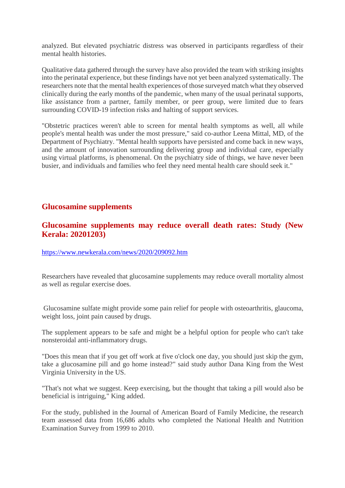analyzed. But elevated psychiatric distress was observed in participants regardless of their mental health histories.

Qualitative data gathered through the survey have also provided the team with striking insights into the perinatal experience, but these findings have not yet been analyzed systematically. The researchers note that the mental health experiences of those surveyed match what they observed clinically during the early months of the pandemic, when many of the usual perinatal supports, like assistance from a partner, family member, or peer group, were limited due to fears surrounding COVID-19 infection risks and halting of support services.

"Obstetric practices weren't able to screen for mental health symptoms as well, all while people's mental health was under the most pressure," said co-author Leena Mittal, MD, of the Department of Psychiatry. "Mental health supports have persisted and come back in new ways, and the amount of innovation surrounding delivering group and individual care, especially using virtual platforms, is phenomenal. On the psychiatry side of things, we have never been busier, and individuals and families who feel they need mental health care should seek it."

#### **Glucosamine supplements**

#### **Glucosamine supplements may reduce overall death rates: Study (New Kerala: 20201203)**

#### https://www.newkerala.com/news/2020/209092.htm

Researchers have revealed that glucosamine supplements may reduce overall mortality almost as well as regular exercise does.

Glucosamine sulfate might provide some pain relief for people with osteoarthritis, glaucoma, weight loss, joint pain caused by drugs.

The supplement appears to be safe and might be a helpful option for people who can't take nonsteroidal anti-inflammatory drugs.

"Does this mean that if you get off work at five o'clock one day, you should just skip the gym, take a glucosamine pill and go home instead?" said study author Dana King from the West Virginia University in the US.

"That's not what we suggest. Keep exercising, but the thought that taking a pill would also be beneficial is intriguing," King added.

For the study, published in the Journal of American Board of Family Medicine, the research team assessed data from 16,686 adults who completed the National Health and Nutrition Examination Survey from 1999 to 2010.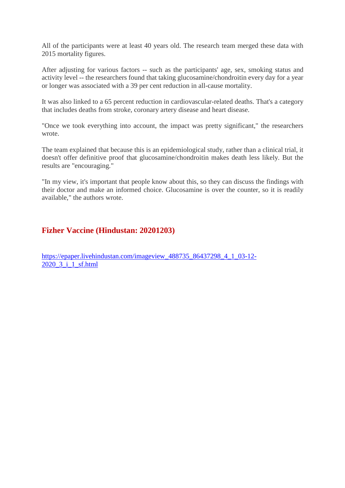All of the participants were at least 40 years old. The research team merged these data with 2015 mortality figures.

After adjusting for various factors -- such as the participants' age, sex, smoking status and activity level -- the researchers found that taking glucosamine/chondroitin every day for a year or longer was associated with a 39 per cent reduction in all-cause mortality.

It was also linked to a 65 percent reduction in cardiovascular-related deaths. That's a category that includes deaths from stroke, coronary artery disease and heart disease.

"Once we took everything into account, the impact was pretty significant," the researchers wrote.

The team explained that because this is an epidemiological study, rather than a clinical trial, it doesn't offer definitive proof that glucosamine/chondroitin makes death less likely. But the results are "encouraging."

"In my view, it's important that people know about this, so they can discuss the findings with their doctor and make an informed choice. Glucosamine is over the counter, so it is readily available," the authors wrote.

#### **Fizher Vaccine (Hindustan: 20201203)**

https://epaper.livehindustan.com/imageview\_488735\_86437298\_4\_1\_03-12- 2020\_3\_i\_1\_sf.html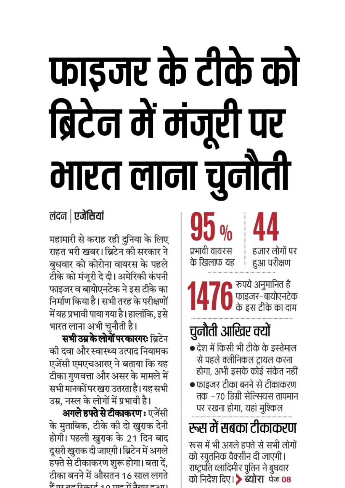# फाइजर के टीके को ब्रिटेन में मंजूरी पर मारत लाना चुनौती

लंदन | एजेंसियां

महामारी से कराह रही दुनिया के लिए राहत भरी खबर। ब्रिटेन की सरकार ने बुधवार को कोरोना वायरस के पहले टीके को मंजूरी दे दी। अमेरिकी कंपनी फाइजर व बायोएनटेक ने इस टीके का निर्माण किया है। सभी तरह के परीक्षणों में यह प्रभावी पाया गया है। हालांकि, इसे भारत लाना अभी चुनौती है।

**सभी उम्र के लोगों पर कारगरः** ब्रिटेन की दवा और स्वास्थ्य उत्पाद नियामक एजेंसी एमएचआरए ने बताया कि यह टीका गुणवत्ता और असर के मामले में सभी मानकों पर खरा उतरता है। यह सभी उम्र, नस्ल के लोगों में प्रभावी है।

**अगले हफ्ते से टीकाकरण:** एजेंसी के मुताबिक, टीके की दो खुराक देनी होगी। पहली खुराक के 21 दिन बाद दूसरी खुराक दी जाएगी। ब्रिटेन में अगले हफ्ते से टीकाकरण शुरू होगा। बता दें, टीका बनने में औसतन 16 साल लगते ਤੋਂ ਸਾ ਸਭ ਰਿਹਾਣੀ 10 ਸਾਡ ਜੋ ਤੇ ਸਾ ਭ2 ਸ।

 $95%$ प्रभावी वायरस के खिलाफ यह हुआ परीक्षण

हजार लोगों पर

ि रुपये अनुमानित है<br>ति फाइजर–बायोएनटेक<br>के इस टीके का दाम

## चुनौती आखिर क्यों

- देश में किसी भी टीके के इस्तेमाल से पहले क्लीनिकल ट्रायल करना होगा, अभी इसके कोई संकेत नहीं
- फाइजर टीका बनने से टीकाकरण तक –70 डिग्री सेल्सियस तापमान पर रखना होगा, यहां मुश्किल

रूस में सबका टीकाकरण रूस में भी अगले हफ्ते से सभी लोगों को स्पुतनिक वैक्सीन दी जाएगी। राष्ट्रपति व्लादिमीर पुतिन ने बुधवार को निर्देश दिए। > ब्योरा पेज 08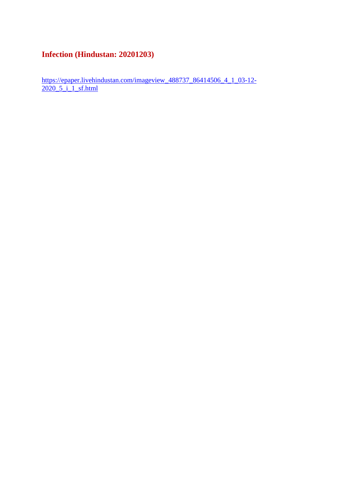#### **Infection (Hindustan: 20201203)**

https://epaper.livehindustan.com/imageview\_488737\_86414506\_4\_1\_03-12-2020\_5\_i\_1\_sf.html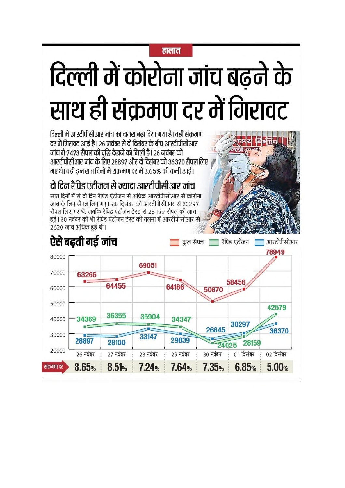#### हालात

## दिल्ली में कोरोना जांच बढने के साथ ही संक्रमण दर में गिरावट

दिल्ली में आरटीपीसीआर जांच का दायरा बढा दिया गया है। वहीं संक्रमण दर में गिरावट आई है। 26 नवंबर से दो दिसंबर के बीच आरटीपीसीआर जांच में 7473 सैंपल की वद्धि देखने को मिली है। 26 नवंबर को आरटीपीसीआर जांच के लिए 28897 और दो दिसंबर को 36370 सैंपल लिए गए थे। वहीं डन सात दिनों में संकमण दर में 3.65% की कमी आई।

दो दिन रैपिड एंटीजन से ज्यादा आरटीपीसीआर जांच

सात दिनों में से दो दिन रैपिड एंटीजन से अधिक आरटीपीसीआर से कोरोना जांच के लिए सैंपल लिए गए। एक दिसंबर को आरटीपीसीआर से 30297 सैंपल लिए गए थे. जबकि रैपिड एंटीजन टेस्ट से 28159 सैंपल की जांच हुई | 30 नवंबर को भी रैपिड एंटीजन टेस्ट की तलना में आरटीपीसीआर से 2620 जांच अधिक हुई थी।